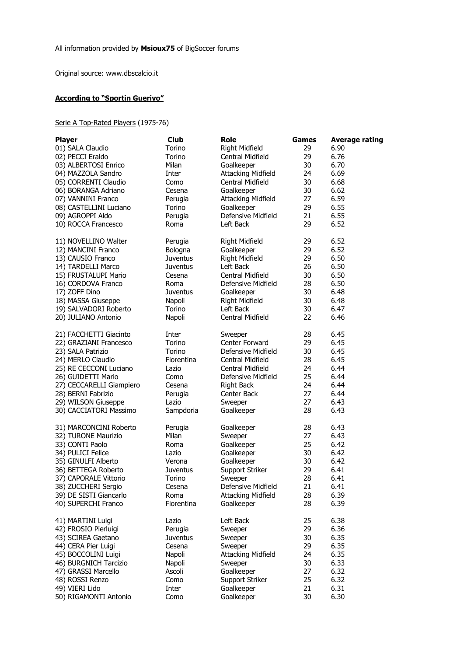Original source: www.dbscalcio.it

## **According to "Sportin Guerivo"**

Serie A Top-Rated Players (1975-76)

| <b>Player</b>            | <b>Club</b>     | <b>Role</b>               | <b>Games</b> | <b>Average rating</b> |
|--------------------------|-----------------|---------------------------|--------------|-----------------------|
| 01) SALA Claudio         | Torino          | Right Midfield            | 29           | 6.90                  |
| 02) PECCI Eraldo         | Torino          | Central Midfield          | 29           | 6.76                  |
| 03) ALBERTOSI Enrico     | Milan           | Goalkeeper                | 30           | 6.70                  |
| 04) MAZZOLA Sandro       | Inter           | <b>Attacking Midfield</b> | 24           | 6.69                  |
| 05) CORRENTI Claudio     | Como            | Central Midfield          | 30           | 6.68                  |
| 06) BORANGA Adriano      |                 |                           | 30           | 6.62                  |
|                          | Cesena          | Goalkeeper                |              |                       |
| 07) VANNINI Franco       | Perugia         | <b>Attacking Midfield</b> | 27           | 6.59                  |
| 08) CASTELLINI Luciano   | Torino          | Goalkeeper                | 29           | 6.55                  |
| 09) AGROPPI Aldo         | Perugia         | Defensive Midfield        | 21           | 6.55                  |
| 10) ROCCA Francesco      | Roma            | Left Back                 | 29           | 6.52                  |
| 11) NOVELLINO Walter     | Perugia         | Right Midfield            | 29           | 6.52                  |
| 12) MANCINI Franco       | Bologna         | Goalkeeper                | 29           | 6.52                  |
| 13) CAUSIO Franco        | <b>Juventus</b> | Right Midfield            | 29           | 6.50                  |
| 14) TARDELLI Marco       | <b>Juventus</b> | Left Back                 | 26           | 6.50                  |
| 15) FRUSTALUPI Mario     | Cesena          | Central Midfield          | 30           | 6.50                  |
| 16) CORDOVA Franco       | Roma            | Defensive Midfield        | 28           | 6.50                  |
|                          |                 |                           |              |                       |
| 17) ZOFF Dino            | Juventus        | Goalkeeper                | 30           | 6.48                  |
| 18) MASSA Giuseppe       | Napoli          | Right Midfield            | 30           | 6.48                  |
| 19) SALVADORI Roberto    | Torino          | Left Back                 | 30           | 6.47                  |
| 20) JULIANO Antonio      | Napoli          | Central Midfield          | 22           | 6.46                  |
| 21) FACCHETTI Giacinto   | Inter           | Sweeper                   | 28           | 6.45                  |
| 22) GRAZIANI Francesco   | Torino          | Center Forward            | 29           | 6.45                  |
| 23) SALA Patrizio        | Torino          | Defensive Midfield        | 30           | 6.45                  |
| 24) MERLO Claudio        | Fiorentina      | Central Midfield          | 28           | 6.45                  |
| 25) RE CECCONI Luciano   | Lazio           | Central Midfield          | 24           | 6.44                  |
| 26) GUIDETTI Mario       | Como            | Defensive Midfield        | 25           | 6.44                  |
| 27) CECCARELLI Giampiero | Cesena          | <b>Right Back</b>         | 24           | 6.44                  |
|                          |                 |                           |              |                       |
| 28) BERNI Fabrizio       | Perugia         | Center Back               | 27           | 6.44                  |
| 29) WILSON Giuseppe      | Lazio           | Sweeper                   | 27           | 6.43                  |
| 30) CACCIATORI Massimo   | Sampdoria       | Goalkeeper                | 28           | 6.43                  |
| 31) MARCONCINI Roberto   | Perugia         | Goalkeeper                | 28           | 6.43                  |
| 32) TURONE Maurizio      | Milan           | Sweeper                   | 27           | 6.43                  |
| 33) CONTI Paolo          | Roma            | Goalkeeper                | 25           | 6.42                  |
| 34) PULICI Felice        | Lazio           | Goalkeeper                | 30           | 6.42                  |
| 35) GINULFI Alberto      | Verona          | Goalkeeper                | 30           | 6.42                  |
| 36) BETTEGA Roberto      | Juventus        | Support Striker           | 29           | 6.41                  |
| 37) CAPORALE Vittorio    | Torino          | Sweeper                   | 28           | 6.41                  |
| 38) ZUCCHERI Sergio      | Cesena          | Defensive Midfield        | 21           | 6.41                  |
| 39) DE SISTI Giancarlo   | Roma            | Attacking Midfield        | 28           | 6.39                  |
| 40) SUPERCHI Franco      |                 |                           |              |                       |
|                          | Fiorentina      | Goalkeeper                | 28           | 6.39                  |
| 41) MARTINI Luigi        | Lazio           | Left Back                 | 25           | 6.38                  |
| 42) FROSIO Pierluigi     | Perugia         | Sweeper                   | 29           | 6.36                  |
| 43) SCIREA Gaetano       | <b>Juventus</b> | Sweeper                   | 30           | 6.35                  |
| 44) CERA Pier Luigi      | Cesena          | Sweeper                   | 29           | 6.35                  |
| 45) BOCCOLINI Luigi      | Napoli          | <b>Attacking Midfield</b> | 24           | 6.35                  |
| 46) BURGNICH Tarcizio    | Napoli          | Sweeper                   | 30           | 6.33                  |
| 47) GRASSI Marcello      | Ascoli          | Goalkeeper                | 27           | 6.32                  |
| 48) ROSSI Renzo          | Como            | Support Striker           | 25           | 6.32                  |
| 49) VIERI Lido           | Inter           | Goalkeeper                | 21           | 6.31                  |
| 50) RIGAMONTI Antonio    | Como            | Goalkeeper                | 30           | 6.30                  |
|                          |                 |                           |              |                       |